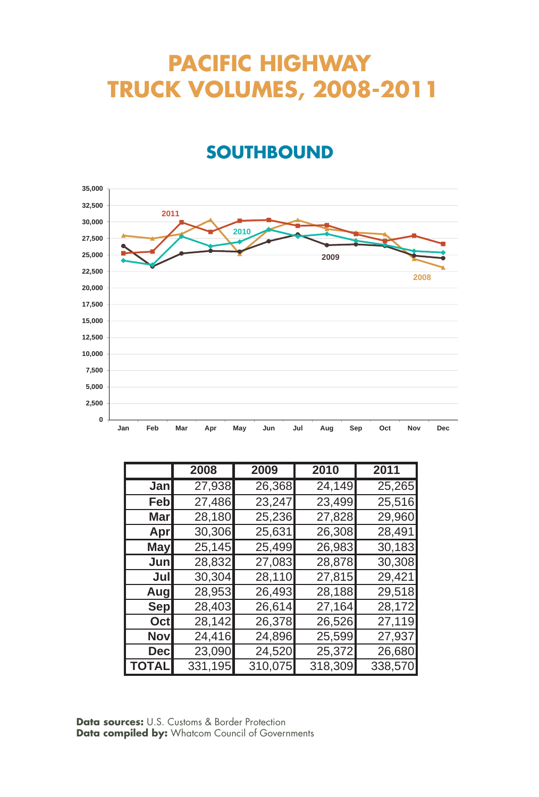# **PACIFIC HIGHWAY TRUCK VOLUMES, 2008-2011**

#### **SOUTHBOUND**



|             | 2008    | 2009    | 2010    | 2011    |
|-------------|---------|---------|---------|---------|
| Jan         | 27,938  | 26,368  | 24,149  | 25,265  |
| Feb         | 27,486  | 23,247  | 23,499  | 25,516  |
| <b>Mar</b>  | 28,180  | 25,236  | 27,828  | 29,960  |
| Apr         | 30,306  | 25,631  | 26,308  | 28,491  |
| <b>May</b>  | 25,145  | 25,499  | 26,983  | 30,183  |
| Junl        | 28,832  | 27,083  | 28,878  | 30,308  |
| Jull        | 30,304  | 28,110  | 27,815  | 29,421  |
| Augl        | 28,953  | 26,493  | 28,188  | 29,518  |
| <b>Sep</b>  | 28,403  | 26,614  | 27,164  | 28,172  |
| Octl        | 28,142  | 26,378  | 26,526  | 27,119  |
| <b>Nov</b>  | 24,416  | 24,896  | 25,599  | 27,937  |
| <b>Decl</b> | 23,090  | 24,520  | 25,372  | 26,680  |
| TOTAL       | 331,195 | 310,075 | 318,309 | 338,570 |

**Data sources:** U.S. Customs & Border Protection **Data compiled by:** Whatcom Council of Governments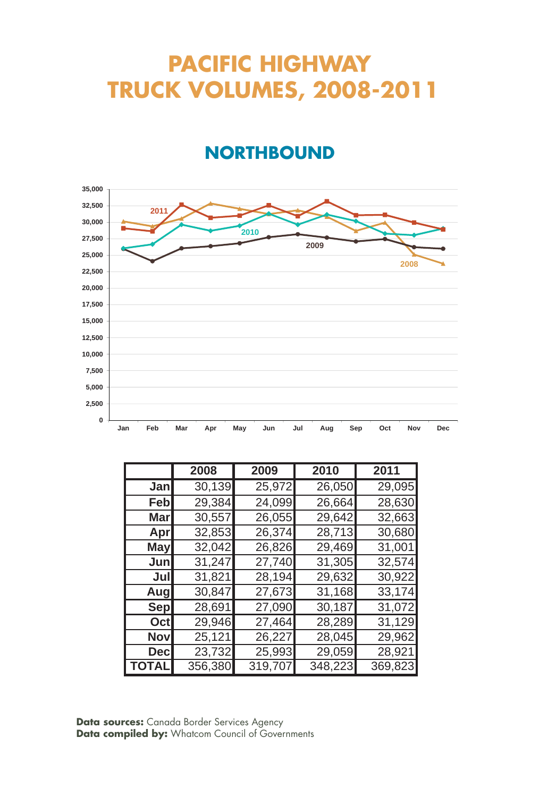# **PACIFIC HIGHWAY TRUCK VOLUMES, 2008-2011**

#### **NORTHBOUND**



|             | 2008    | 2009    | 2010    | 2011    |
|-------------|---------|---------|---------|---------|
| Jan         | 30,139  | 25,972  | 26,050  | 29,095  |
| Febl        | 29,384  | 24,099  | 26,664  | 28,630  |
| Marl        | 30,557  | 26,055  | 29,642  | 32,663  |
| Apr         | 32,853  | 26,374  | 28,713  | 30,680  |
| May         | 32,042  | 26,826  | 29,469  | 31,001  |
| Junl        | 31,247  | 27,740  | 31,305  | 32,574  |
| Jul         | 31,821  | 28,194  | 29,632  | 30,922  |
| Augl        | 30,847  | 27,673  | 31,168  | 33,174  |
| Sep         | 28,691  | 27,090  | 30,187  | 31,072  |
| Oct         | 29,946  | 27,464  | 28,289  | 31,129  |
| <b>Nov</b>  | 25,121  | 26,227  | 28,045  | 29,962  |
| <b>Decl</b> | 23,732  | 25,993  | 29,059  | 28,921  |
| TOTAL       | 356,380 | 319,707 | 348,223 | 369,823 |

**Data sources:** Canada Border Services Agency **Data compiled by:** Whatcom Council of Governments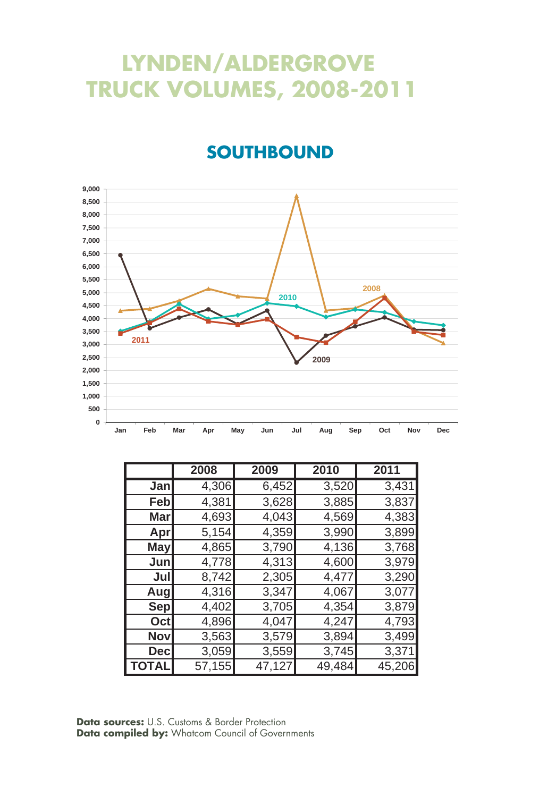# **LYNDEN/ALDERGROVE TRUCK VOLUMES, 2008-2011**

#### **SOUTHBOUND**



|            | 2008   | 2009   | 2010   | 2011   |
|------------|--------|--------|--------|--------|
| Jan        | 4,306  | 6,452  | 3,520  | 3,431  |
| Feb        | 4,381  | 3,628  | 3,885  | 3,837  |
| Mar        | 4,693  | 4,043  | 4,569  | 4,383  |
| Apr        | 5,154  | 4,359  | 3,990  | 3,899  |
| May        | 4,865  | 3,790  | 4,136  | 3,768  |
| Jun        | 4,778  | 4,313  | 4,600  | 3,979  |
| Jul        | 8,742  | 2,305  | 4,477  | 3,290  |
| Aug        | 4,316  | 3,347  | 4,067  | 3,077  |
| <b>Sep</b> | 4,402  | 3,705  | 4,354  | 3,879  |
| Oct        | 4,896  | 4,047  | 4,247  | 4,793  |
| Nov        | 3,563  | 3,579  | 3,894  | 3,499  |
| <b>Dec</b> | 3,059  | 3,559  | 3,745  | 3,371  |
| TOTAL      | 57,155 | 47,127 | 49,484 | 45,206 |

**Data sources:** U.S. Customs & Border Protection **Data compiled by:** Whatcom Council of Governments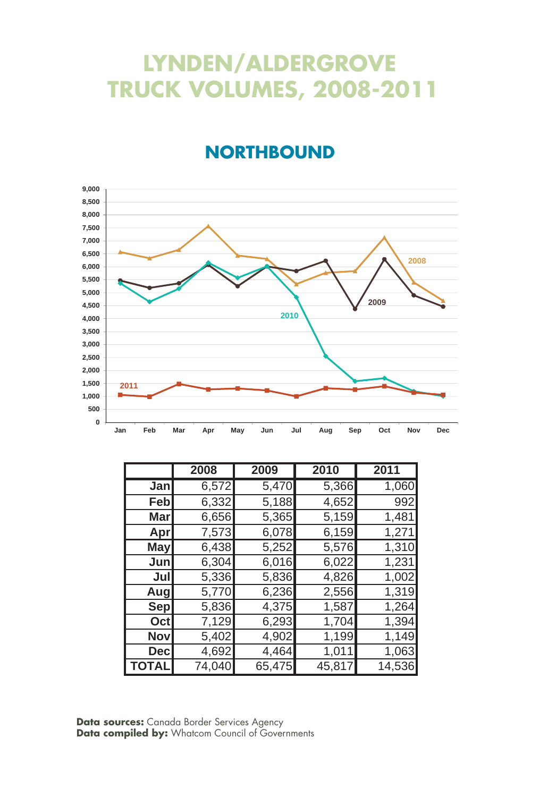# **LYNDEN/ALDERGROVE TRUCK VOLUMES, 2008-2011**

#### **NORTHBOUND**



|              | 2008   | 2009   | 2010   | 2011   |
|--------------|--------|--------|--------|--------|
| Jan          | 6,572  | 5,470  | 5,366  | 1,060  |
| Feb          | 6,332  | 5,188  | 4,652  | 992    |
| Mar          | 6,656  | 5,365  | 5,159  | 1,481  |
| Apr          | 7,573  | 6,078  | 6,159  | 1,271  |
| May          | 6,438  | 5,252  | 5,576  | 1,310  |
| Jun          | 6,304  | 6,016  | 6,022  | 1,231  |
| Jul          | 5,336  | 5,836  | 4,826  | 1,002  |
| Aug          | 5,770  | 6,236  | 2,556  | 1,319  |
| Sep          | 5,836  | 4,375  | 1,587  | 1,264  |
| Oct          | 7,129  | 6,293  | 1,704  | 1,394  |
| <b>Nov</b>   | 5,402  | 4,902  | 1,199  | 1,149  |
| <b>Dec</b>   | 4,692  | 4,464  | 1,011  | 1,063  |
| <b>TOTAL</b> | 74,040 | 65,475 | 45,817 | 14,536 |

**Data sources:** Canada Border Services Agency Data compiled by: Whatcom Council of Governments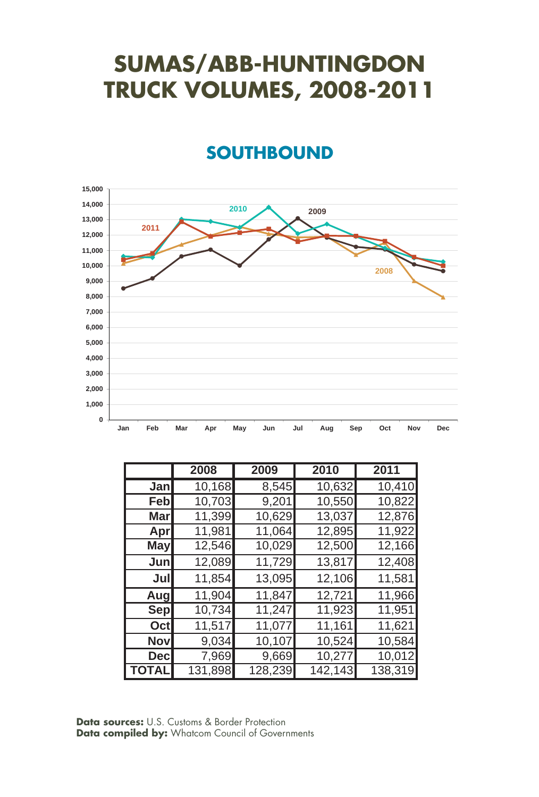# **SUMAS/ABB-HUNTINGDON TRUCK VOLUMES, 2008-2011**

#### **SOUTHBOUND**



|            | 2008                | 2009    | 2010    | 2011    |
|------------|---------------------|---------|---------|---------|
| Jan        | $\overline{10,}168$ | 8,545   | 10,632  | 10,410  |
| Febl       | 10,703              | 9,201   | 10,550  | 10,822  |
| Mar        | 11,399              | 10,629  | 13,037  | 12,876  |
| Apr        | 11,981              | 11,064  | 12,895  | 11,922  |
| <b>May</b> | 12,546              | 10,029  | 12,500  | 12,166  |
| Jun        | 12,089              | 11,729  | 13,817  | 12,408  |
| Jul        | 11,854              | 13,095  | 12,106  | 11,581  |
| Aug        | 11,904              | 11,847  | 12,721  | 11,966  |
| Sep        | 10,734              | 11,247  | 11,923  | 11,951  |
| Oct        | 11,517              | 11,077  | 11,161  | 11,621  |
| <b>Nov</b> | 9,034               | 10,107  | 10,524  | 10,584  |
| <b>Dec</b> | 7,969               | 9,669   | 10,277  | 10,012  |
| l TOTAL    | 131,898             | 128,239 | 142,143 | 138,319 |

**Data sources:** U.S. Customs & Border Protection **Data compiled by:** Whatcom Council of Governments